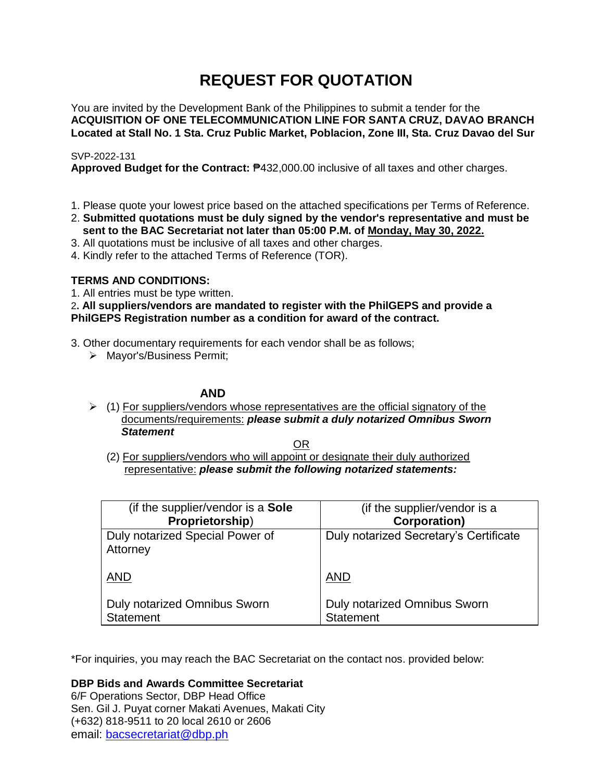# **REQUEST FOR QUOTATION**

You are invited by the Development Bank of the Philippines to submit a tender for the **ACQUISITION OF ONE TELECOMMUNICATION LINE FOR SANTA CRUZ, DAVAO BRANCH Located at Stall No. 1 Sta. Cruz Public Market, Poblacion, Zone III, Sta. Cruz Davao del Sur**

# SVP-2022-131

**Approved Budget for the Contract:** ₱432,000.00 inclusive of all taxes and other charges.

- 1. Please quote your lowest price based on the attached specifications per Terms of Reference.
- 2. **Submitted quotations must be duly signed by the vendor's representative and must be sent to the BAC Secretariat not later than 05:00 P.M. of Monday, May 30, 2022.**
- 3. All quotations must be inclusive of all taxes and other charges.
- 4. Kindly refer to the attached Terms of Reference (TOR).

# **TERMS AND CONDITIONS:**

1. All entries must be type written.

2**. All suppliers/vendors are mandated to register with the PhilGEPS and provide a PhilGEPS Registration number as a condition for award of the contract.**

- 3. Other documentary requirements for each vendor shall be as follows;
	- > Mayor's/Business Permit;

# **AND**

 $(1)$  For suppliers/vendors whose representatives are the official signatory of the documents/requirements: *please submit a duly notarized Omnibus Sworn Statement*

<u>OR Starting and the Starting OR Starting</u>

(2) For suppliers/vendors who will appoint or designate their duly authorized representative: *please submit the following notarized statements:*

| (if the supplier/vendor is a Sole                | (if the supplier/vendor is a                     |
|--------------------------------------------------|--------------------------------------------------|
| Proprietorship)                                  | <b>Corporation)</b>                              |
| Duly notarized Special Power of<br>Attorney      | Duly notarized Secretary's Certificate           |
| <b>AND</b>                                       | <b>AND</b>                                       |
| Duly notarized Omnibus Sworn<br><b>Statement</b> | Duly notarized Omnibus Sworn<br><b>Statement</b> |

\*For inquiries, you may reach the BAC Secretariat on the contact nos. provided below:

**DBP Bids and Awards Committee Secretariat** 

6/F Operations Sector, DBP Head Office Sen. Gil J. Puyat corner Makati Avenues, Makati City (+632) 818-9511 to 20 local 2610 or 2606 email: [bacsecretariat@dbp.ph](mailto:bacsecretariat@dbp.ph)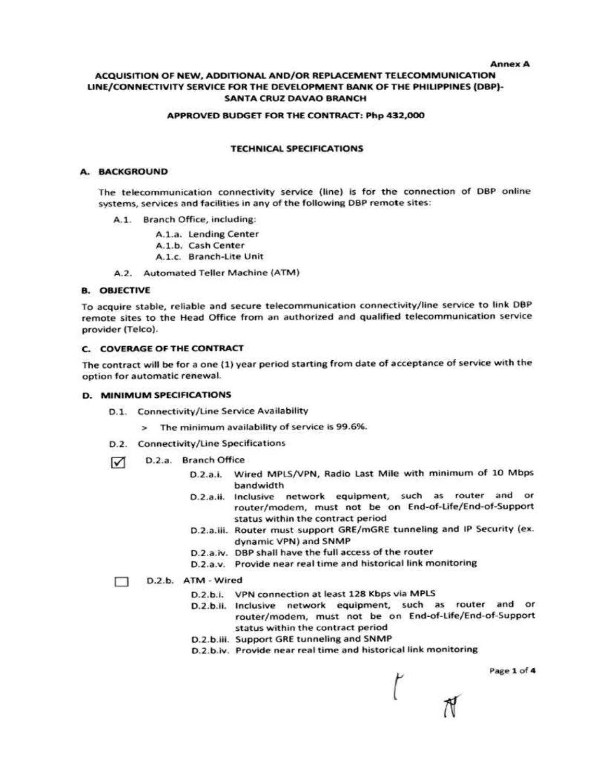#### **Annex A**

#### ACQUISITION OF NEW, ADDITIONAL AND/OR REPLACEMENT TELECOMMUNICATION LINE/CONNECTIVITY SERVICE FOR THE DEVELOPMENT BANK OF THE PHILIPPINES (DBP)-**SANTA CRUZ DAVAO BRANCH**

#### APPROVED BUDGET FOR THE CONTRACT: Php 432,000

#### **TECHNICAL SPECIFICATIONS**

#### A. BACKGROUND

The telecommunication connectivity service (line) is for the connection of DBP online systems, services and facilities in any of the following DBP remote sites:

- A.1. Branch Office, including:
	- A.1.a. Lending Center
	- A.1.b. Cash Center
	- A.1.c. Branch-Lite Unit
- A.2. Automated Teller Machine (ATM)

#### **B. OBJECTIVE**

To acquire stable, reliable and secure telecommunication connectivity/line service to link DBP remote sites to the Head Office from an authorized and qualified telecommunication service provider (Telco).

#### C. COVERAGE OF THE CONTRACT

The contract will be for a one (1) year period starting from date of acceptance of service with the option for automatic renewal.

#### **D. MINIMUM SPECIFICATIONS**

- D.1. Connectivity/Line Service Availability
	- > The minimum availability of service is 99.6%.
- D.2. Connectivity/Line Specifications
- D.2.a. Branch Office ☑
	- D.2.a.i. Wired MPLS/VPN, Radio Last Mile with minimum of 10 Mbps bandwidth
	- D.2.a.ii. Inclusive network equipment, such as router and or router/modem, must not be on End-of-Life/End-of-Support status within the contract period
	- D.2.a.iii. Router must support GRE/mGRE tunneling and IP Security (ex. dynamic VPN) and SNMP
	- D.2.a.iv. DBP shall have the full access of the router
	- D.2.a.v. Provide near real time and historical link monitoring

#### D.2.b. ATM - Wired ⊓

- D.2.b.i. VPN connection at least 128 Kbps via MPLS
- D.2.b.ii. Inclusive network equipment, such as router and or router/modem, must not be on End-of-Life/End-of-Support status within the contract period
- D.2.b.iii. Support GRE tunneling and SNMP
- D.2.b.iv. Provide near real time and historical link monitoring

Page 1 of 4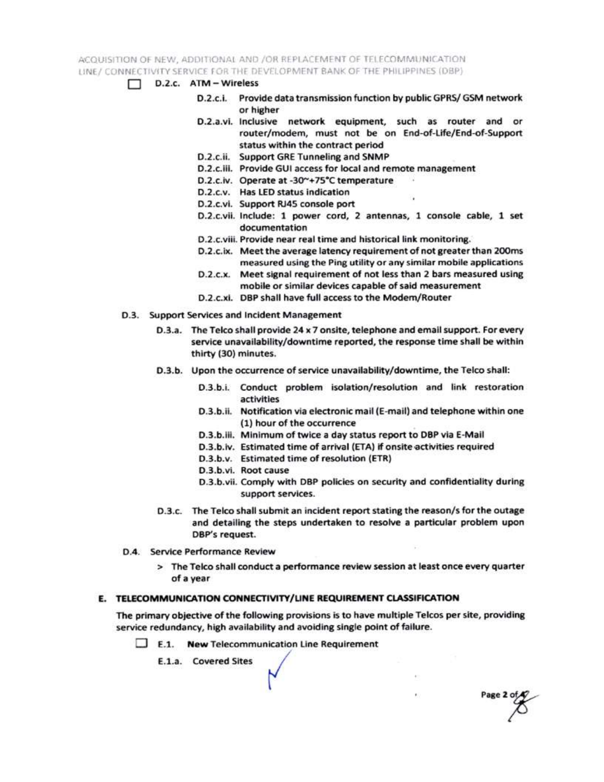ACQUISITION OF NEW, ADDITIONAL AND /OR REPLACEMENT OF TELECOMMUNICATION LINE / CONNECTIVITY SERVICE FOR THE DEVELOPMENT BANK OF THE PHILIPPINES (DBP)

- $\Box$  D.2.c.  $ATM Wireless$ 
	- D.2.c.i. Provide data transmission function by public GPRS/ GSM network or higher
	- D.2.a.vi. Inclusive network equipment, such as router and or router/modem, must not be on End-of-Life/End-of-Support status within the contract period
	- D.2.c.ii. Support GRE Tunneling and SNMP
	- D.2.c.iii. Provide GUI access for local and remote management
	- D.2.c.iv. Operate at -30~+75°C temperature
	- D.2.c.v. Has LED status indication
	- D.2.c.vi. Support RJ45 console port
	- D.2.c.vii. Include: 1 power cord, 2 antennas, 1 console cable, 1 set documentation
	- D.2.c.viii. Provide near real time and historical link monitoring.
	- D.2.c.ix. Meet the average latency requirement of not greater than 200ms measured using the Ping utility or any similar mobile applications
	- D.2.c.x. Meet signal requirement of not less than 2 bars measured using mobile or similar devices capable of said measurement
	- D.2.c.xi. DBP shall have full access to the Modem/Router
- D.3. Support Services and Incident Management
	- D.3.a. The Telco shall provide 24 x 7 onsite, telephone and email support. For every service unavailability/downtime reported, the response time shall be within thirty (30) minutes.
	- D.3.b. Upon the occurrence of service unavailability/downtime, the Telco shall:
		- D.3.b.i. Conduct problem isolation/resolution and link restoration activities
		- D.3.b.ii. Notification via electronic mail (E-mail) and telephone within one (1) hour of the occurrence
		- D.3.b.iii. Minimum of twice a day status report to DBP via E-Mail
		- D.3.b.iv. Estimated time of arrival (ETA) if onsite activities required
		- D.3.b.v. Estimated time of resolution (ETR)
		- D.3.b.vi. Root cause
		- D.3.b.vii. Comply with DBP policies on security and confidentiality during support services.

Page 2 of

- D.3.c. The Telco shall submit an incident report stating the reason/s for the outage and detailing the steps undertaken to resolve a particular problem upon DBP's request.
- D.4. Service Performance Review
	- > The Telco shall conduct a performance review session at least once every quarter of a year

### E. TELECOMMUNICATION CONNECTIVITY/LINE REQUIREMENT CLASSIFICATION

The primary objective of the following provisions is to have multiple Telcos per site, providing service redundancy, high availability and avoiding single point of failure.

 $\Box$  E.1. New Telecommunication Line Requirement

E.1.a. Covered Sites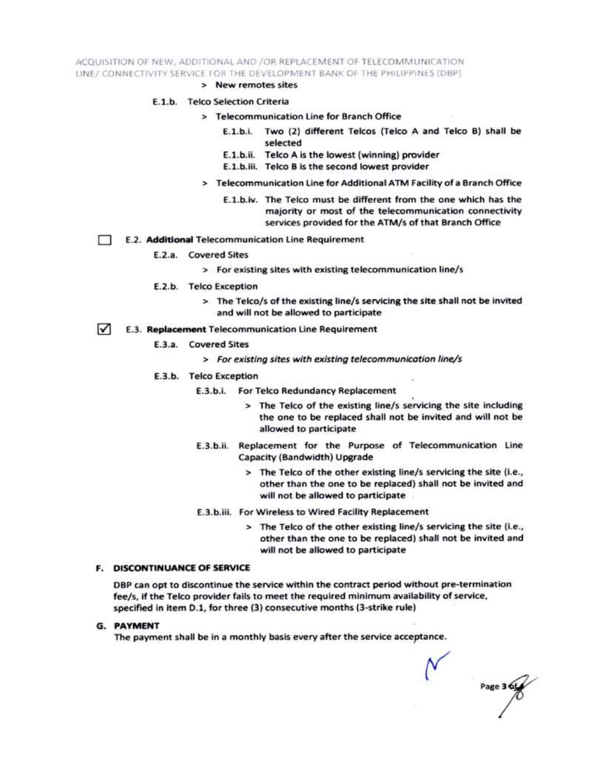ACQUISITION OF NEW, ADDITIONAL AND /OR REPLACEMENT OF TELECOMMUNICATION LINE/ CONNECTIVITY SERVICE FOR THE DEVELOPMENT BANK OF THE PHILIPPINES (DBP)

> New remotes sites

#### E.1.b. Telco Selection Criteria

- > Telecommunication Line for Branch Office
	- E.1.b.i. Two (2) different Telcos (Telco A and Telco B) shall be selected
	- E.1.b.ii. Telco A is the lowest (winning) provider
	- E.1.b.iii. Telco B is the second lowest provider
- > Telecommunication Line for Additional ATM Facility of a Branch Office
	- E.1.b.iv. The Telco must be different from the one which has the majority or most of the telecommunication connectivity services provided for the ATM/s of that Branch Office
- E.2. Additional Telecommunication Line Requirement Ð
	- E.2.a. Covered Sites
		- > For existing sites with existing telecommunication line/s
	- E.2.b. Telco Exception
		- > The Telco/s of the existing line/s servicing the site shall not be invited and will not be allowed to participate
- $\sqrt{ }$ E.3. Replacement Telecommunication Line Requirement
	- E.3.a. Covered Sites
		- > For existing sites with existing telecommunication line/s
	- E.3.b. Telco Exception
		- E.3.b.i. For Telco Redundancy Replacement
			- > The Telco of the existing line/s servicing the site including the one to be replaced shall not be invited and will not be allowed to participate
		- E.3.b.ii. Replacement for the Purpose of Telecommunication Line Capacity (Bandwidth) Upgrade
			- > The Telco of the other existing line/s servicing the site (i.e., other than the one to be replaced) shall not be invited and will not be allowed to participate
		- E.3.b.iii. For Wireless to Wired Facility Replacement
			- > The Telco of the other existing line/s servicing the site (i.e., other than the one to be replaced) shall not be invited and will not be allowed to participate

#### **F. DISCONTINUANCE OF SERVICE**

DBP can opt to discontinue the service within the contract period without pre-termination fee/s, if the Telco provider fails to meet the required minimum availability of service, specified in item D.1, for three (3) consecutive months (3-strike rule)

**G. PAYMENT** 

The payment shall be in a monthly basis every after the service acceptance.

Page 3 6t